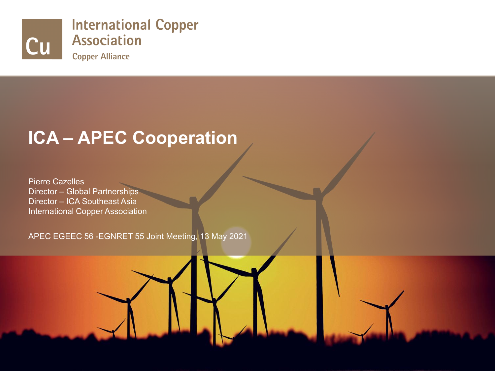

#### **ICA – APEC Cooperation**

Pierre Cazelles Director – Global Partnerships Director – ICA Southeast Asia International Copper Association

APEC EGEEC 56 -EGNRET 55 Joint Meeting, 13 May 2021



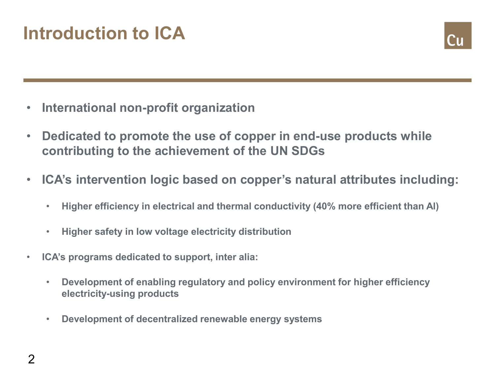## **Introduction to ICA**



- **International non-profit organization**
- **Dedicated to promote the use of copper in end-use products while contributing to the achievement of the UN SDGs**
- **ICA's intervention logic based on copper's natural attributes including:**
	- **Higher efficiency in electrical and thermal conductivity (40% more efficient than Al)**
	- **Higher safety in low voltage electricity distribution**
- **ICA's programs dedicated to support, inter alia:**
	- **Development of enabling regulatory and policy environment for higher efficiency electricity-using products**
	- **Development of decentralized renewable energy systems**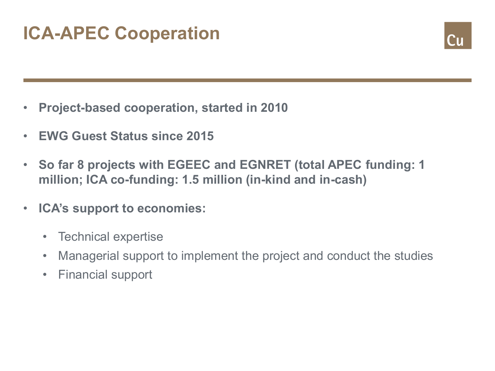# **ICA-APEC Cooperation**



- **Project-based cooperation, started in 2010**
- **EWG Guest Status since 2015**
- **So far 8 projects with EGEEC and EGNRET (total APEC funding: 1 million; ICA co-funding: 1.5 million (in-kind and in-cash)**
- **ICA's support to economies:**
	- Technical expertise
	- Managerial support to implement the project and conduct the studies
	- Financial support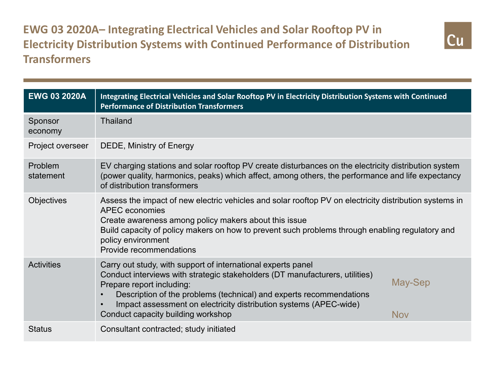**EWG 03 2020A– Integrating Electrical Vehicles and Solar Rooftop PV in Electricity Distribution Systems with Continued Performance of Distribution Transformers**



| <b>EWG 03 2020A</b>  | Integrating Electrical Vehicles and Solar Rooftop PV in Electricity Distribution Systems with Continued<br><b>Performance of Distribution Transformers</b>                                                                                                                                                                                                  |                       |  |
|----------------------|-------------------------------------------------------------------------------------------------------------------------------------------------------------------------------------------------------------------------------------------------------------------------------------------------------------------------------------------------------------|-----------------------|--|
| Sponsor<br>economy   | <b>Thailand</b>                                                                                                                                                                                                                                                                                                                                             |                       |  |
| Project overseer     | DEDE, Ministry of Energy                                                                                                                                                                                                                                                                                                                                    |                       |  |
| Problem<br>statement | EV charging stations and solar rooftop PV create disturbances on the electricity distribution system<br>(power quality, harmonics, peaks) which affect, among others, the performance and life expectancy<br>of distribution transformers                                                                                                                   |                       |  |
| Objectives           | Assess the impact of new electric vehicles and solar rooftop PV on electricity distribution systems in<br><b>APEC</b> economies<br>Create awareness among policy makers about this issue<br>Build capacity of policy makers on how to prevent such problems through enabling regulatory and<br>policy environment<br>Provide recommendations                |                       |  |
| <b>Activities</b>    | Carry out study, with support of international experts panel<br>Conduct interviews with strategic stakeholders (DT manufacturers, utilities)<br>Prepare report including:<br>Description of the problems (technical) and experts recommendations<br>Impact assessment on electricity distribution systems (APEC-wide)<br>Conduct capacity building workshop | May-Sep<br><b>Nov</b> |  |
| <b>Status</b>        | Consultant contracted; study initiated                                                                                                                                                                                                                                                                                                                      |                       |  |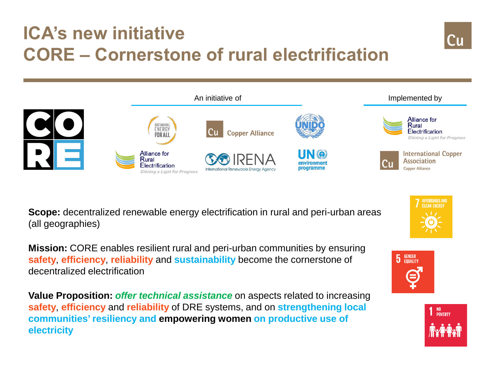## **ICA's new initiative CORE – Cornerstone of rural electrification**





**Scope:** decentralized renewable energy electrification in rural and peri-urban areas (all geographies)

**Mission:** CORE enables resilient rural and peri-urban communities by ensuring **safety**, **efficiency**, **reliability** and **sustainability** become the cornerstone of decentralized electrification

**Value Proposition:** *offer technical assistance* on aspects related to increasing **safety**, **efficiency** and **reliability** of DRE systems, and on **strengthening local communities' resiliency and empowering women on productive use of electricity**



AFFORDABLE AND

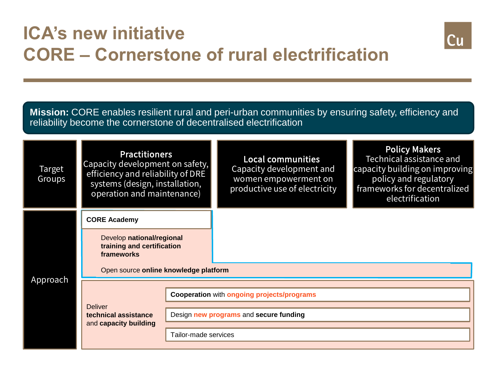### **ICA's new initiative CORE – Cornerstone of rural electrification**



**Mission:** CORE enables resilient rural and peri-urban communities by ensuring safety, efficiency and reliability become the cornerstone of decentralised electrification

| Target<br>Groups | <b>Practitioners</b><br>Capacity development on safety,<br>efficiency and reliability of DRE<br>systems (design, installation,<br>operation and maintenance) |                                                   | <b>Local communities</b><br>Capacity development and<br>women empowerment on<br>productive use of electricity | <b>Policy Makers</b><br>Technical assistance and<br>capacity building on improving<br>policy and regulatory<br>frameworks for decentralized<br>electrification |  |
|------------------|--------------------------------------------------------------------------------------------------------------------------------------------------------------|---------------------------------------------------|---------------------------------------------------------------------------------------------------------------|----------------------------------------------------------------------------------------------------------------------------------------------------------------|--|
| Approach         | <b>CORE Academy</b>                                                                                                                                          |                                                   |                                                                                                               |                                                                                                                                                                |  |
|                  | Develop national/regional<br>training and certification<br>frameworks                                                                                        |                                                   |                                                                                                               |                                                                                                                                                                |  |
|                  | Open source online knowledge platform                                                                                                                        |                                                   |                                                                                                               |                                                                                                                                                                |  |
|                  |                                                                                                                                                              |                                                   |                                                                                                               |                                                                                                                                                                |  |
|                  | <b>Deliver</b><br>technical assistance<br>and capacity building                                                                                              | <b>Cooperation with ongoing projects/programs</b> |                                                                                                               |                                                                                                                                                                |  |
|                  |                                                                                                                                                              | Design new programs and secure funding            |                                                                                                               |                                                                                                                                                                |  |
|                  |                                                                                                                                                              | Tailor-made services                              |                                                                                                               |                                                                                                                                                                |  |
|                  |                                                                                                                                                              |                                                   |                                                                                                               |                                                                                                                                                                |  |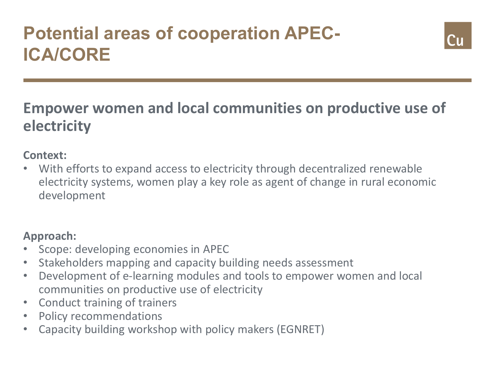## **Potential areas of cooperation APEC-ICA/CORE**



#### **Empower women and local communities on productive use of electricity**

#### **Context:**

With efforts to expand access to electricity through decentralized renewable electricity systems, women play a key role as agent of change in rural economic development

#### **Approach:**

- Scope: developing economies in APEC
- Stakeholders mapping and capacity building needs assessment
- Development of e-learning modules and tools to empower women and local communities on productive use of electricity
- Conduct training of trainers
- Policy recommendations
- Capacity building workshop with policy makers (EGNRET)